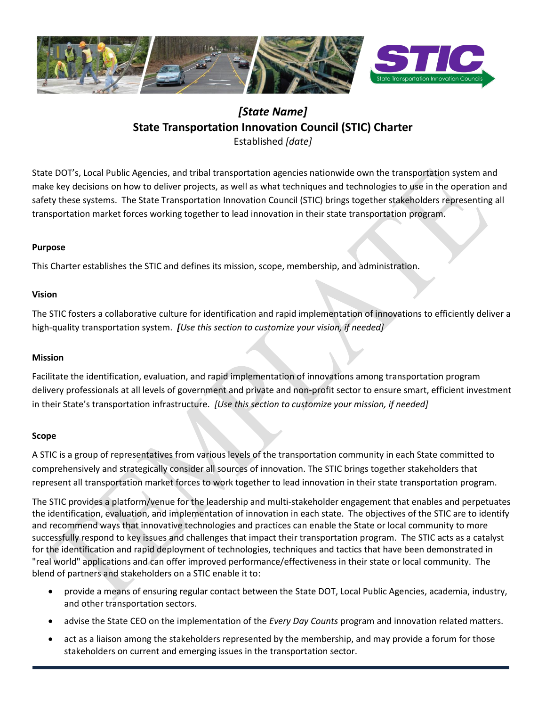

# *[State Name]* **State Transportation Innovation Council (STIC) Charter** Established *[date]*

State DOT's, Local Public Agencies, and tribal transportation agencies nationwide own the transportation system and make key decisions on how to deliver projects, as well as what techniques and technologies to use in the operation and safety these systems. The State Transportation Innovation Council (STIC) brings together stakeholders representing all transportation market forces working together to lead innovation in their state transportation program.

# **Purpose**

This Charter establishes the STIC and defines its mission, scope, membership, and administration.

# **Vision**

The STIC fosters a collaborative culture for identification and rapid implementation of innovations to efficiently deliver a high-quality transportation system. *[Use this section to customize your vision, if needed]*

### **Mission**

Facilitate the identification, evaluation, and rapid implementation of innovations among transportation program delivery professionals at all levels of government and private and non-profit sector to ensure smart, efficient investment in their State's transportation infrastructure. *[Use this section to customize your mission, if needed]*

### **Scope**

A STIC is a group of representatives from various levels of the transportation community in each State committed to comprehensively and strategically consider all sources of innovation. The STIC brings together stakeholders that represent all transportation market forces to work together to lead innovation in their state transportation program.

The STIC provides a platform/venue for the leadership and multi-stakeholder engagement that enables and perpetuates the identification, evaluation, and implementation of innovation in each state. The objectives of the STIC are to identify and recommend ways that innovative technologies and practices can enable the State or local community to more successfully respond to key issues and challenges that impact their transportation program. The STIC acts as a catalyst for the identification and rapid deployment of technologies, techniques and tactics that have been demonstrated in "real world" applications and can offer improved performance/effectiveness in their state or local community. The blend of partners and stakeholders on a STIC enable it to:

- provide a means of ensuring regular contact between the State DOT, Local Public Agencies, academia, industry, and other transportation sectors.
- advise the State CEO on the implementation of the *Every Day Counts* program and innovation related matters.
- act as a liaison among the stakeholders represented by the membership, and may provide a forum for those stakeholders on current and emerging issues in the transportation sector.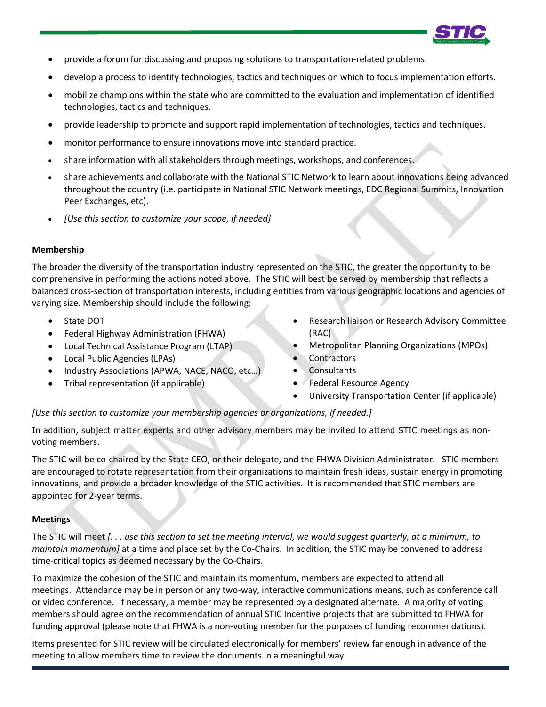

- provide a forum for discussing and proposing solutions to transportation-related problems.
- develop a process to identify technologies, tactics and techniques on which to focus implementation efforts.
- mobilize champions within the state who are committed to the evaluation and implementation of identified technologies, tactics and techniques.
- provide leadership to promote and support rapid implementation of technologies, tactics and techniques.
- monitor performance to ensure innovations move into standard practice.
- share information with all stakeholders through meetings, workshops, and conferences.
- share achievements and collaborate with the National STIC Network to learn about innovations being advanced throughout the country (i.e. participate in National STIC Network meetings, EDC Regional Summits, Innovation Peer Exchanges, etc).
- *[Use this section to customize your scope, if needed]*

### **Membership**

The broader the diversity of the transportation industry represented on the STIC, the greater the opportunity to be comprehensive in performing the actions noted above. The STIC will best be served by membership that reflects a balanced cross-section of transportation interests, including entities from various geographic locations and agencies of varying size. Membership should include the following:

- State DOT
- Federal Highway Administration (FHWA)
- Local Technical Assistance Program (LTAP)
- Local Public Agencies (LPAs)
- Industry Associations (APWA, NACE, NACO, etc…)
- Tribal representation (if applicable)
- Research liaison or Research Advisory Committee (RAC)
- Metropolitan Planning Organizations (MPOs)
- **Contractors**
- **Consultants**
- Federal Resource Agency
- University Transportation Center (if applicable)

### *[Use this section to customize your membership agencies or organizations, if needed.]*

In addition, subject matter experts and other advisory members may be invited to attend STIC meetings as nonvoting members.

The STIC will be co-chaired by the State CEO, or their delegate, and the FHWA Division Administrator. STIC members are encouraged to rotate representation from their organizations to maintain fresh ideas, sustain energy in promoting innovations, and provide a broader knowledge of the STIC activities. It is recommended that STIC members are appointed for 2-year terms.

# **Meetings**

The STIC will meet *[. . . use this section to set the meeting interval, we would suggest quarterly, at a minimum, to maintain momentum]* at a time and place set by the Co-Chairs. In addition, the STIC may be convened to address time-critical topics as deemed necessary by the Co-Chairs.

To maximize the cohesion of the STIC and maintain its momentum, members are expected to attend all meetings. Attendance may be in person or any two-way, interactive communications means, such as conference call or video conference. If necessary, a member may be represented by a designated alternate. A majority of voting members should agree on the recommendation of annual STIC Incentive projects that are submitted to FHWA for funding approval (please note that FHWA is a non-voting member for the purposes of funding recommendations).

Items presented for STIC review will be circulated electronically for members' review far enough in advance of the meeting to allow members time to review the documents in a meaningful way.